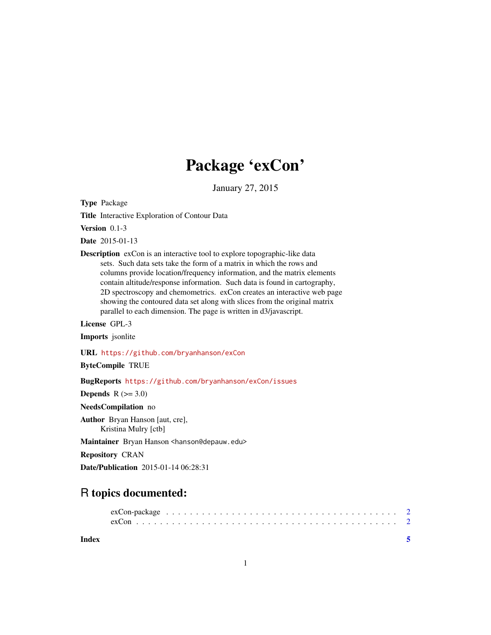## Package 'exCon'

January 27, 2015

<span id="page-0-0"></span>Type Package

Title Interactive Exploration of Contour Data

Version 0.1-3

Date 2015-01-13

Description exCon is an interactive tool to explore topographic-like data sets. Such data sets take the form of a matrix in which the rows and columns provide location/frequency information, and the matrix elements contain altitude/response information. Such data is found in cartography, 2D spectroscopy and chemometrics. exCon creates an interactive web page showing the contoured data set along with slices from the original matrix parallel to each dimension. The page is written in d3/javascript.

License GPL-3

Imports jsonlite

URL <https://github.com/bryanhanson/exCon>

ByteCompile TRUE

BugReports <https://github.com/bryanhanson/exCon/issues>

**Depends**  $R$  ( $>= 3.0$ )

NeedsCompilation no

Author Bryan Hanson [aut, cre], Kristina Mulry [ctb]

Maintainer Bryan Hanson <hanson@depauw.edu>

Repository CRAN

Date/Publication 2015-01-14 06:28:31

### R topics documented:

**Index** [5](#page-4-0)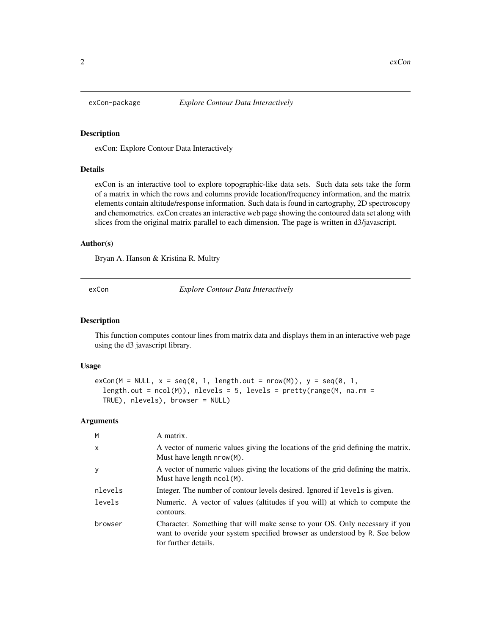<span id="page-1-0"></span>

#### Description

exCon: Explore Contour Data Interactively

#### Details

exCon is an interactive tool to explore topographic-like data sets. Such data sets take the form of a matrix in which the rows and columns provide location/frequency information, and the matrix elements contain altitude/response information. Such data is found in cartography, 2D spectroscopy and chemometrics. exCon creates an interactive web page showing the contoured data set along with slices from the original matrix parallel to each dimension. The page is written in d3/javascript.

#### Author(s)

Bryan A. Hanson & Kristina R. Multry

exCon *Explore Contour Data Interactively*

#### Description

This function computes contour lines from matrix data and displays them in an interactive web page using the d3 javascript library.

#### Usage

```
exCon(M = NULL, x = seq(0, 1, length.out = nrow(M)), y = seq(0, 1,length.out = ncol(M), nlevels = 5, levels = prety(range(M, na.rm =TRUE), nlevels), browser = NULL)
```
#### Arguments

| M            | A matrix.                                                                                                                                                                          |
|--------------|------------------------------------------------------------------------------------------------------------------------------------------------------------------------------------|
| $\mathsf{x}$ | A vector of numeric values giving the locations of the grid defining the matrix.<br>Must have length nrow(M).                                                                      |
| y            | A vector of numeric values giving the locations of the grid defining the matrix.<br>Must have length ncol(M).                                                                      |
| nlevels      | Integer. The number of contour levels desired. Ignored if levels is given.                                                                                                         |
| levels       | Numeric. A vector of values (altitudes if you will) at which to compute the<br>contours.                                                                                           |
| browser      | Character. Something that will make sense to your OS. Only necessary if you<br>want to overide your system specified browser as understood by R. See below<br>for further details. |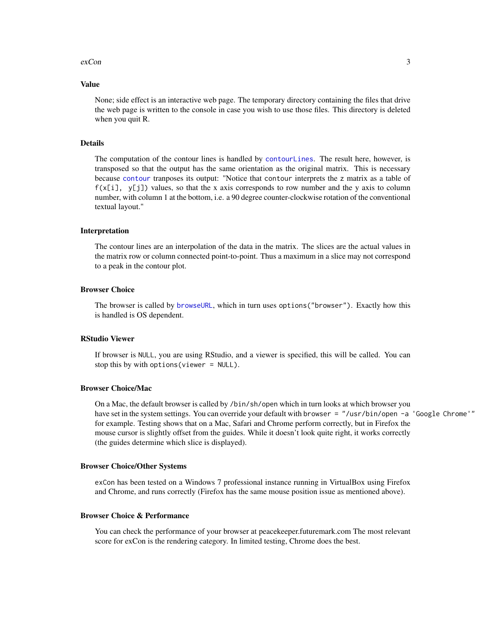#### <span id="page-2-0"></span> $\alpha$  exCon  $\beta$

#### Value

None; side effect is an interactive web page. The temporary directory containing the files that drive the web page is written to the console in case you wish to use those files. This directory is deleted when you quit R.

#### Details

The computation of the contour lines is handled by [contourLines](#page-0-0). The result here, however, is transposed so that the output has the same orientation as the original matrix. This is necessary because [contour](#page-0-0) tranposes its output: "Notice that contour interprets the z matrix as a table of  $f(x[i], y[j])$  values, so that the x axis corresponds to row number and the y axis to column number, with column 1 at the bottom, i.e. a 90 degree counter-clockwise rotation of the conventional textual layout."

#### Interpretation

The contour lines are an interpolation of the data in the matrix. The slices are the actual values in the matrix row or column connected point-to-point. Thus a maximum in a slice may not correspond to a peak in the contour plot.

#### Browser Choice

The browser is called by [browseURL](#page-0-0), which in turn uses options("browser"). Exactly how this is handled is OS dependent.

#### RStudio Viewer

If browser is NULL, you are using RStudio, and a viewer is specified, this will be called. You can stop this by with options(viewer = NULL).

#### Browser Choice/Mac

On a Mac, the default browser is called by /bin/sh/open which in turn looks at which browser you have set in the system settings. You can override your default with browser = "/usr/bin/open -a 'Google Chrome'" for example. Testing shows that on a Mac, Safari and Chrome perform correctly, but in Firefox the mouse cursor is slightly offset from the guides. While it doesn't look quite right, it works correctly (the guides determine which slice is displayed).

#### Browser Choice/Other Systems

exCon has been tested on a Windows 7 professional instance running in VirtualBox using Firefox and Chrome, and runs correctly (Firefox has the same mouse position issue as mentioned above).

#### Browser Choice & Performance

You can check the performance of your browser at peacekeeper.futuremark.com The most relevant score for exCon is the rendering category. In limited testing, Chrome does the best.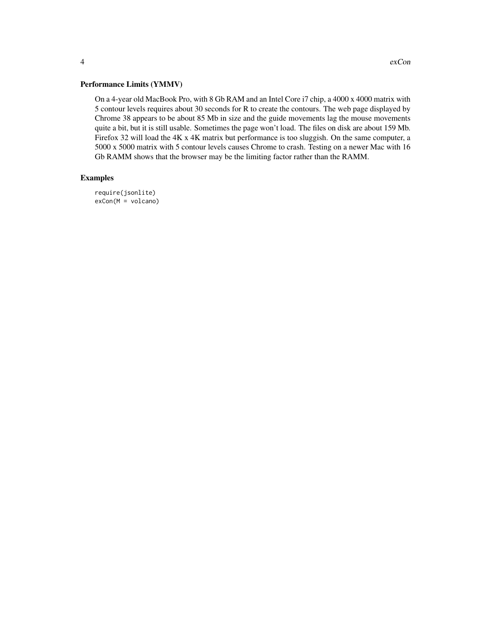#### Performance Limits (YMMV)

On a 4-year old MacBook Pro, with 8 Gb RAM and an Intel Core i7 chip, a 4000 x 4000 matrix with 5 contour levels requires about 30 seconds for R to create the contours. The web page displayed by Chrome 38 appears to be about 85 Mb in size and the guide movements lag the mouse movements quite a bit, but it is still usable. Sometimes the page won't load. The files on disk are about 159 Mb. Firefox 32 will load the 4K x 4K matrix but performance is too sluggish. On the same computer, a 5000 x 5000 matrix with 5 contour levels causes Chrome to crash. Testing on a newer Mac with 16 Gb RAMM shows that the browser may be the limiting factor rather than the RAMM.

#### Examples

require(jsonlite) exCon(M = volcano)